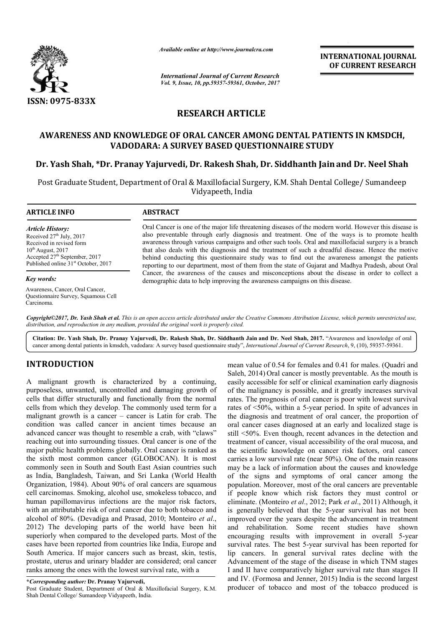

*Available online at http://www.journal http://www.journalcra.com*

*International Journal of Current Research Vol. 9, Issue, 10, pp.59357-59361, October, 2017* **INTERNATIONAL JOURNAL OF CURRENT RESEARCH** 

# **RESEARCH ARTICLE**

# **AWARENESS AND KNOWLEDGE OF ORAL CANCER AMONG DENTAL PATIENTS IN KMSDCH, VADODARA: A SURVEY BASED QUESTIONNAIRE STUDY**

# **Dr. Yash Shah, \*Dr. Pranay Yajurvedi, Dr. Rakesh Shah, Dr. Siddhanth Jain Dr. VADODARA: A Rakesh Shah, Siddhanth Jainand Dr. Neel Shah**

Post Graduate Student, Department of Oral & Maxillofacial Surgery, K.M. Shah Dental College/ Sumandeep Vidyapeeth, India

#### **ARTICLE INFO ABSTRACT**

*Article History:* Received  $27<sup>th</sup>$  July, 2017 Received in revised form  $10^{th}$  August, 2017 Accepted  $27<sup>th</sup>$  September, 2017 Published online 31<sup>st</sup> October, 2017

#### *Key words:*

Awareness, Cancer, Oral Cancer, Questionnaire Survey, Squamous Cell Carcinoma.

Oral Cancer is one of the major life threatening diseases of the modern world. However this disease is also preventable through early diagnosis and treatment. One of the ways is to promote health awareness through various campaigns and other such tools. Oral and maxillofacial surgery is a branch that also deals with the diagnosis and the treatment of such a dreadful disease. Hence the motive behind conducting this questionnaire study was to find out the awareness amongst the patients reporting to our department, most of them from the state of Gujarat and Madhya Pradesh, about Oral Cancer, the awareness of the causes and misconceptions about the disease in order to collect a demographic data to help improving the awareness campaigns on this disease. also preventable through early diagnosis and treatment. One of the ways is to produce a awareness through various campaigns and other such tools. Oral and maxillofacial surger that also deals with the diagnosis and the tre

Copyright©2017, Dr. Yash Shah et al. This is an open access article distributed under the Creative Commons Attribution License, which permits unrestricted use, *distribution, and reproduction in any medium, provided the original work is properly cited.*

**Citation: Dr. Yash Shah, Dr. Pranay Yajurvedi, Dr. Rakesh Shah, Dr. Siddhanth Jain and Dr. Neel Shah, 2017.** "Awareness and knowledge of oral cancer among dental patients in kmsdch, vadodara: A survey based questionnaire study", *International Journal of Current Research*, 9, (10), 59357-59361.

# **INTRODUCTION**

A malignant growth is characterized by a continuing, purposeless, unwanted, uncontrolled and damaging growth of cells that differ structurally and functionally from the normal cells from which they develop. The commonly used term for a malignant growth is a cancer – cancer is Latin for crab. The condition was called cancer in ancient times because an advanced cancer was thought to resemble a crab, with "claws" reaching out into surrounding tissues. Oral cancer is one of the major public health problems globally. Oral cancer is ranked as the sixth most common cancer (GLOBOCAN). It is most commonly seen in South and South East Asian countries such as India, Bangladesh, Taiwan, and Sri Lanka (World Health Organization, 1984). About 90% of oral cancers are squamous cell carcinomas. Smoking, alcohol use, smokeless tobacco, and human papillomavirus infections are the major risk factors, with an attributable risk of oral cancer due to both tobacco and Organization, 1984). About 90% of oral cancers are squamous cell carcinomas. Smoking, alcohol use, smokeless tobacco, and human papillomavirus infections are the major risk factors, with an attributable risk of oral cancer 2012) The developing parts of the world have been hit superiorly when compared to the developed parts. Most of the cases have been reported from countries like India, Europe and South America. If major cancers such as breast, skin, testis, prostate, uterus and urinary bladder are considered; oral cancer ranks among the ones with the lowest survival rate, with a

**\****Corresponding author:* **Dr. Pranay Yajurvedi,**

Post Graduate Student, Department of Oral & Maxillofacial Surgery, K.M. Shah Dental College/ Sumandeep Vidyapeeth, India.

mean value of 0.54 for females and 0.41 for males. (Quadri and Saleh, 2014) Oral cancer is mostly preventable. As the mouth is Saleh, 2014) Oral cancer is mostly preventable. As the mouth is easily accessible for self or clinical examination early diagnosis of the malignancy is possible, and it greatly increases survival rates. The prognosis of oral cancer is poor with lowest survival rates of <50%, within a 5-year period. In spite of advances in the diagnosis and treatment of oral cancer, the proportion of oral cancer cases diagnosed at an early and localized stage is still <50%. Even though, recent advances in the detection and treatment of cancer, visual accessibility of the oral mucosa, and the scientific knowledge on cancer risk factors carries a low survival rate (near 50%). One of the main reasons may be a lack of information about the causes and knowledge of the signs and symptoms of oral cancer among the population. Moreover, most of the oral cancers are preventable if people know which risk factors they must control or eliminate. (Monteiro *et al.*, 2012; Park *et al.*, 2011) Although, it is generally believed that the 5 5-year survival has not been improved over the years despite the advancement in treatment and rehabilitation. Some recent studies have shown and rehabilitation. Some recent studies have shown encouraging results with improvement in overall 5-year survival rates. The best 5-year survival has been reported for lip cancers. In general survival rates decline with the Advancement of the stage of the disease in which TNM stages I and II have comparatively higher survival rate than stages II I and II have comparatively higher survival rate than stages II and IV. (Formosa and Jenner, 2015) India is the second largest producer of tobacco and most of the tobacco produced is malignancy is possible, and it greatly increases survival<br>The prognosis of oral cancer is poor with lowest survival<br>of <50%, within a 5-year period. In spite of advances in<br>agnosis and treatment of oral cancer, the proport oral cancer cases diagnosed at an early and localized stage is still <50%. Even though, recent advances in the detection and treatment of cancer, visual accessibility of the oral mucosa, and the scientific knowledge on can ies a low survival rate (near 50%). One of the main reasons be a lack of information about the causes and knowledge the signs and symptoms of oral cancer among the lation. Moreover, most of the oral cancers are preventable best 5-year survival has been reported for general survival rates decline with the stage of the disease in which TNM stages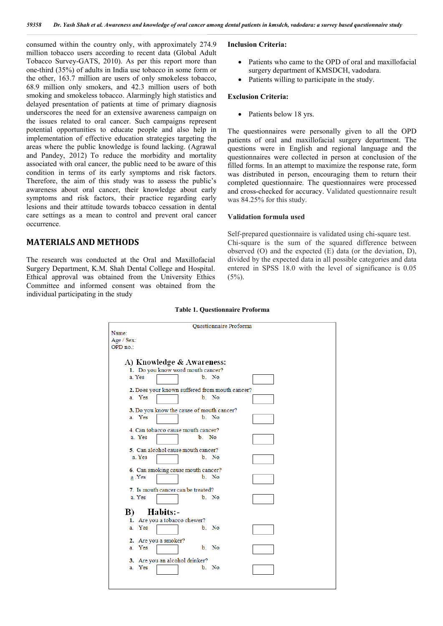consumed within the country only, with approximately 274.9 million tobacco users according to recent data (Global Adult Tobacco Survey-GATS, 2010). As per this report more than one-third (35%) of adults in India use tobacco in some form or the other, 163.7 million are users of only smokeless tobacco, 68.9 million only smokers, and 42.3 million users of both smoking and smokeless tobacco. Alarmingly high statistics and delayed presentation of patients at time of primary diagnosis underscores the need for an extensive awareness campaign on the issues related to oral cancer. Such campaigns represent potential opportunities to educate people and also help in implementation of effective education strategies targeting the areas where the public knowledge is found lacking. (Agrawal and Pandey, 2012) To reduce the morbidity and mortality associated with oral cancer, the public need to be aware of this condition in terms of its early symptoms and risk factors. Therefore, the aim of this study was to assess the public's awareness about oral cancer, their knowledge about early symptoms and risk factors, their practice regarding early lesions and their attitude towards tobacco cessation in dental care settings as a mean to control and prevent oral cancer occurrence.

# **MATERIALS AND METHODS**

The research was conducted at the Oral and Maxillofacial Surgery Department, K.M. Shah Dental College and Hospital. Ethical approval was obtained from the University Ethics Committee and informed consent was obtained from the individual participating in the study

#### **Inclusion Criteria:**

- Patients who came to the OPD of oral and maxillofacial surgery department of KMSDCH, vadodara.
- Patients willing to participate in the study.

#### **Exclusion Criteria:**

• Patients below 18 yrs.

The questionnaires were personally given to all the OPD patients of oral and maxillofacial surgery department. The questions were in English and regional language and the questionnaires were collected in person at conclusion of the filled forms. In an attempt to maximize the response rate, form was distributed in person, encouraging them to return their completed questionnaire. The questionnaires were processed and cross-checked for accuracy. Validated questionnaire result was 84.25% for this study.

#### **Validation formula used**

Self-prepared questionnaire is validated using chi-square test. Chi-square is the sum of the squared difference between observed (O) and the expected (E) data (or the deviation, D), divided by the expected data in all possible categories and data entered in SPSS 18.0 with the level of significance is 0.05  $(5\%)$ .

#### **Table 1. Questionnaire Proforma**

| Questionnaire Proforma                         |                                    |       |  |
|------------------------------------------------|------------------------------------|-------|--|
| Name:                                          |                                    |       |  |
| $Age / Sex$ :                                  |                                    |       |  |
| OPD no.:                                       |                                    |       |  |
|                                                |                                    |       |  |
| A) Knowledge & Awareness:                      |                                    |       |  |
| 1. Do you know word mouth cancer?              |                                    |       |  |
| a. Yes                                         |                                    | b No  |  |
|                                                |                                    |       |  |
| 2. Does your known suffered from mouth cancer? |                                    |       |  |
| a. Yes                                         |                                    | b. No |  |
|                                                |                                    |       |  |
| 3. Do you know the cause of mouth cancer?      |                                    |       |  |
| a. Yes                                         |                                    | b. No |  |
|                                                |                                    |       |  |
| 4. Can tobacco cause mouth cancer?             |                                    |       |  |
| a. Yes                                         | b No                               |       |  |
|                                                |                                    |       |  |
|                                                | 5. Can alcohol cause mouth cancer? |       |  |
| a. Yes                                         |                                    | b. No |  |
| 6. Can smoking cause mouth cancer?             |                                    |       |  |
| a Yes                                          |                                    | b No  |  |
|                                                |                                    |       |  |
| 7. Is mouth cancer can be treated?             |                                    |       |  |
| a. Yes                                         |                                    | b. No |  |
|                                                |                                    |       |  |
|                                                |                                    |       |  |
| Habits:-<br>B)                                 |                                    |       |  |
|                                                | 1. Are you a tobacco chewer?       |       |  |
| a. Yes                                         |                                    | b. No |  |
|                                                |                                    |       |  |
|                                                | 2. Are you a smoker?               |       |  |
| a. Yes                                         |                                    | b. No |  |
| 3. Are you an alcohol drinker?                 |                                    |       |  |
| a. Yes                                         |                                    | b. No |  |
|                                                |                                    |       |  |
|                                                |                                    |       |  |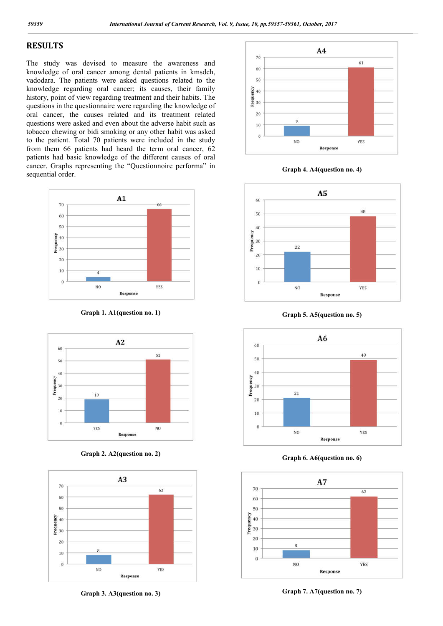# **RESULTS**

The study was devised to measure the awareness and knowledge of oral cancer among dental patients in kmsdch, vadodara. The patients were asked questions related to the knowledge regarding oral cancer; its causes, their family history, point of view regarding treatment and their habits. The questions in the questionnaire were regarding the knowledge of oral cancer, the causes related and its treatment related questions were asked and even about the adverse habit such as tobacco chewing or bidi smoking or any other habit was asked to the patient. Total 70 patients were included in the study from them 66 patients had heard the term oral cancer, 62 patients had basic knowledge of the different causes of oral cancer. Graphs representing the "Questionnoire performa" in sequential order.



**Graph 1. A1(question no. 1)**



**Graph 2. A2(question no. 2)**



**Graph 3. A3(question no. 3)**



**Graph 4. A4(question no. 4)**



**Graph 5. A5(question no. 5)**



**Graph 6. A6(question no. 6)**



**Graph 7. A7(question no. 7)**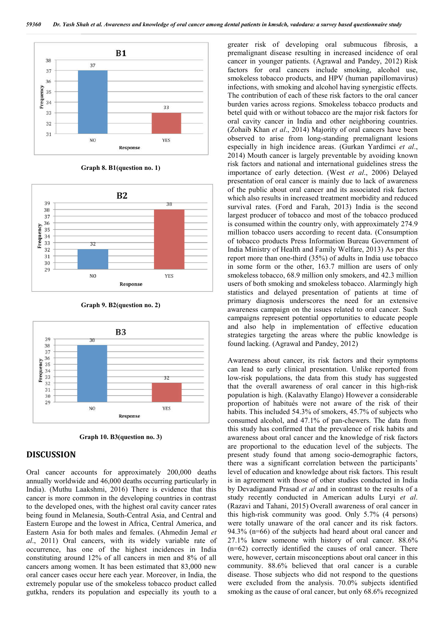

**Graph 8. B1(question no. 1)**



**Graph 9. B2(question no. 2)**



**Graph 10. B3(question no. 3)**

## **DISCUSSION**

Oral cancer accounts for approximately 200,000 deaths annually worldwide and 46,000 deaths occurring particularly in India). (Muthu Laakshmi, 2016) There is evidence that this cancer is more common in the developing countries in contrast to the developed ones, with the highest oral cavity cancer rates being found in Melanesia, South-Central Asia, and Central and Eastern Europe and the lowest in Africa, Central America, and Eastern Asia for both males and females. (Ahmedin Jemal *et al*., 2011) Oral cancers, with its widely variable rate of occurrence, has one of the highest incidences in India constituting around 12% of all cancers in men and 8% of all cancers among women. It has been estimated that 83,000 new oral cancer cases occur here each year. Moreover, in India, the extremely popular use of the smokeless tobacco product called gutkha, renders its population and especially its youth to a

greater risk of developing oral submucous fibrosis, a premalignant disease resulting in increased incidence of oral cancer in younger patients. (Agrawal and Pandey, 2012) Risk factors for oral cancers include smoking, alcohol use, smokeless tobacco products, and HPV (human papillomavirus) infections, with smoking and alcohol having synergistic effects. The contribution of each of these risk factors to the oral cancer burden varies across regions. Smokeless tobacco products and betel quid with or without tobacco are the major risk factors for oral cavity cancer in India and other neighboring countries. (Zohaib Khan *et al*., 2014) Majority of oral cancers have been observed to arise from long-standing premalignant lesions especially in high incidence areas. (Gurkan Yardimci *et al*., 2014) Mouth cancer is largely preventable by avoiding known risk factors and national and international guidelines stress the importance of early detection. (West *et al*., 2006) Delayed presentation of oral cancer is mainly due to lack of awareness of the public about oral cancer and its associated risk factors which also results in increased treatment morbidity and reduced survival rates. (Ford and Farah, 2013) India is the second largest producer of tobacco and most of the tobacco produced is consumed within the country only, with approximately 274.9 million tobacco users according to recent data. (Consumption of tobacco products Press Information Bureau Government of India Ministry of Health and Family Welfare, 2013) As per this report more than one-third (35%) of adults in India use tobacco in some form or the other, 163.7 million are users of only smokeless tobacco, 68.9 million only smokers, and 42.3 million users of both smoking and smokeless tobacco. Alarmingly high statistics and delayed presentation of patients at time of primary diagnosis underscores the need for an extensive awareness campaign on the issues related to oral cancer. Such campaigns represent potential opportunities to educate people and also help in implementation of effective education strategies targeting the areas where the public knowledge is found lacking. (Agrawal and Pandey, 2012)

Awareness about cancer, its risk factors and their symptoms can lead to early clinical presentation. Unlike reported from low-risk populations, the data from this study has suggested that the overall awareness of oral cancer in this high-risk population is high. (Kalavathy Elango) However a considerable proportion of habitués were not aware of the risk of their habits. This included 54.3% of smokers, 45.7% of subjects who consumed alcohol, and 47.1% of pan-chewers. The data from this study has confirmed that the prevalence of risk habits and awareness about oral cancer and the knowledge of risk factors are proportional to the education level of the subjects. The present study found that among socio-demographic factors, there was a significant correlation between the participants' level of education and knowledge about risk factors. This result is in agreement with those of other studies conducted in India by Devadigaand Prasad *et al* and in contrast to the results of a study recently conducted in American adults Luryi *et al*. (Razavi and Tahani, 2015) Overall awareness of oral cancer in this high-risk community was good. Only 5.7% (4 persons) were totally unaware of the oral cancer and its risk factors. 94.3% (n=66) of the subjects had heard about oral cancer and 27.1% knew someone with history of oral cancer. 88.6% (n=62) correctly identified the causes of oral cancer. There were, however, certain misconceptions about oral cancer in this community. 88.6% believed that oral cancer is a curable disease. Those subjects who did not respond to the questions were excluded from the analysis. 70.0% subjects identified smoking as the cause of oral cancer, but only 68.6% recognized